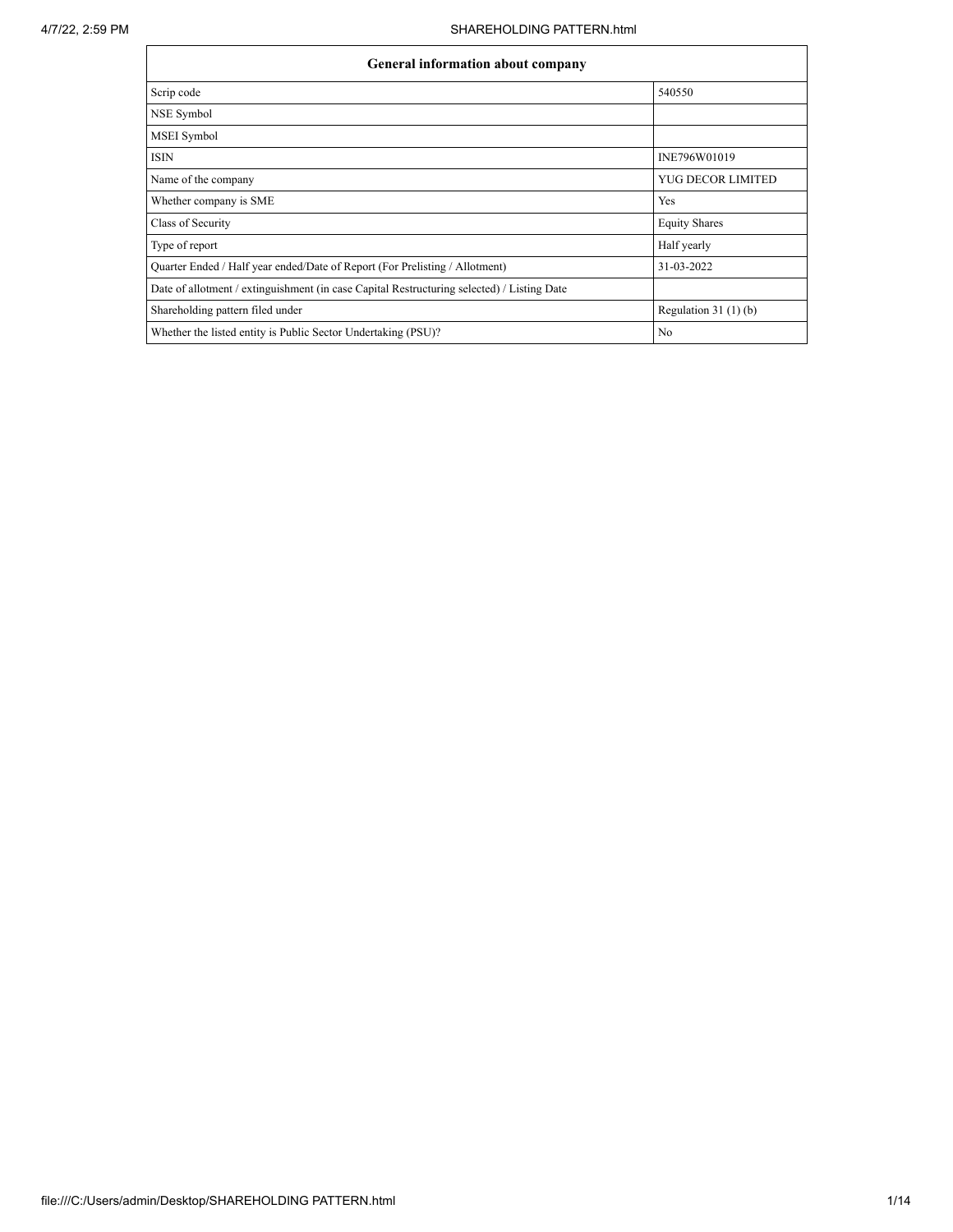$\mathbf{r}$ 

| <b>General information about company</b>                                                   |                        |  |  |  |  |  |  |
|--------------------------------------------------------------------------------------------|------------------------|--|--|--|--|--|--|
| Scrip code                                                                                 | 540550                 |  |  |  |  |  |  |
| NSE Symbol                                                                                 |                        |  |  |  |  |  |  |
| <b>MSEI</b> Symbol                                                                         |                        |  |  |  |  |  |  |
| <b>ISIN</b>                                                                                | INE796W01019           |  |  |  |  |  |  |
| Name of the company                                                                        | YUG DECOR LIMITED      |  |  |  |  |  |  |
| Whether company is SME                                                                     | Yes                    |  |  |  |  |  |  |
| Class of Security                                                                          | <b>Equity Shares</b>   |  |  |  |  |  |  |
| Type of report                                                                             | Half yearly            |  |  |  |  |  |  |
| Quarter Ended / Half year ended/Date of Report (For Prelisting / Allotment)                | 31-03-2022             |  |  |  |  |  |  |
| Date of allotment / extinguishment (in case Capital Restructuring selected) / Listing Date |                        |  |  |  |  |  |  |
| Shareholding pattern filed under                                                           | Regulation 31 $(1)(b)$ |  |  |  |  |  |  |
| Whether the listed entity is Public Sector Undertaking (PSU)?                              | N <sub>0</sub>         |  |  |  |  |  |  |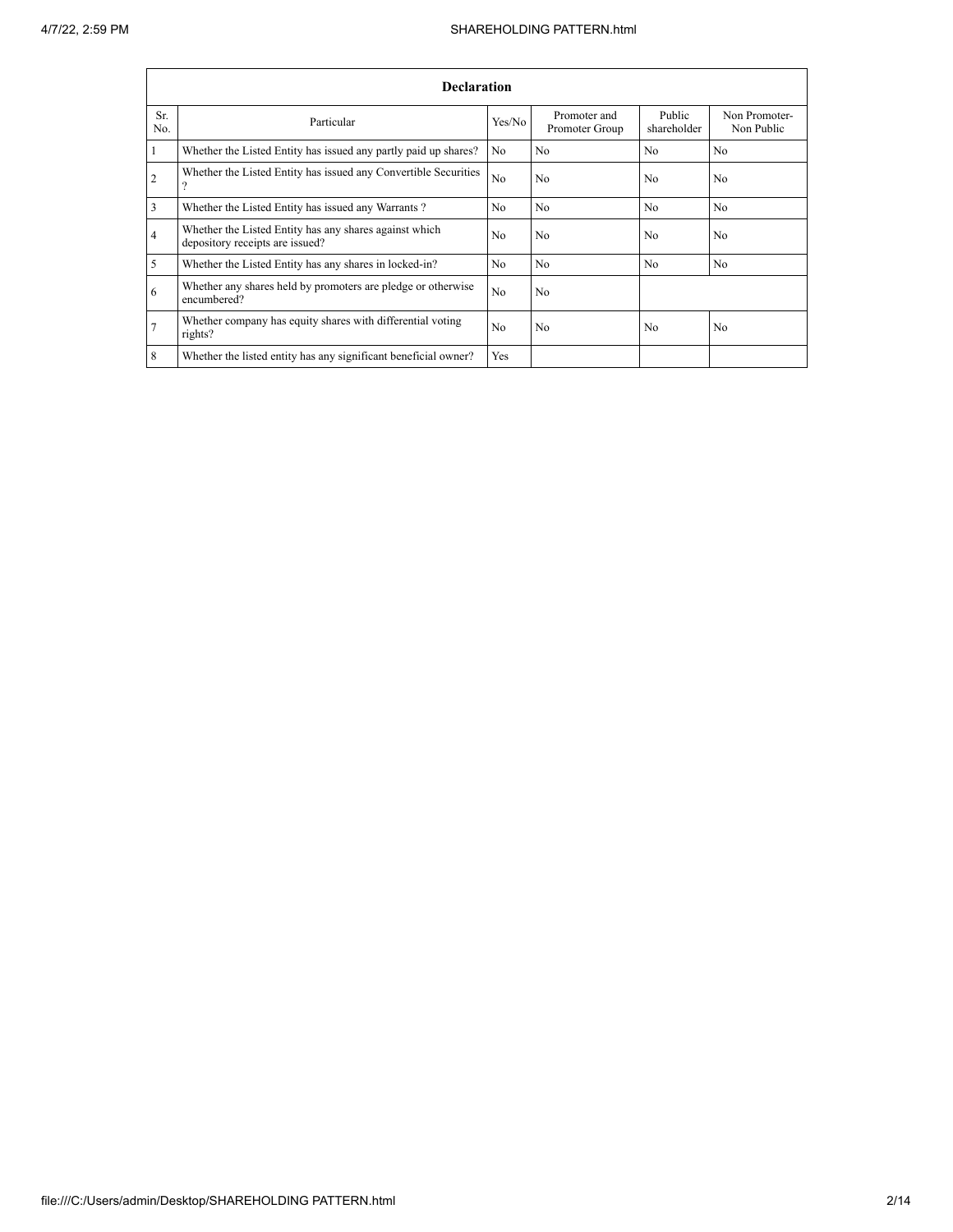|                | <b>Declaration</b>                                                                        |                |                                |                       |                             |  |  |  |  |  |  |
|----------------|-------------------------------------------------------------------------------------------|----------------|--------------------------------|-----------------------|-----------------------------|--|--|--|--|--|--|
| Sr.<br>No.     | Particular                                                                                | Yes/No         | Promoter and<br>Promoter Group | Public<br>shareholder | Non Promoter-<br>Non Public |  |  |  |  |  |  |
| $\mathbf{1}$   | Whether the Listed Entity has issued any partly paid up shares?                           | N <sub>o</sub> | N <sub>0</sub>                 | N <sub>0</sub>        | N <sub>0</sub>              |  |  |  |  |  |  |
| $\overline{2}$ | Whether the Listed Entity has issued any Convertible Securities<br>$\Omega$               | No             | N <sub>0</sub>                 | N <sub>0</sub>        | N <sub>0</sub>              |  |  |  |  |  |  |
| $\overline{3}$ | Whether the Listed Entity has issued any Warrants?                                        | N <sub>0</sub> | N <sub>0</sub>                 | N <sub>0</sub>        | N <sub>0</sub>              |  |  |  |  |  |  |
| $\overline{4}$ | Whether the Listed Entity has any shares against which<br>depository receipts are issued? | N <sub>0</sub> | N <sub>0</sub>                 | N <sub>0</sub>        | N <sub>0</sub>              |  |  |  |  |  |  |
| 5              | Whether the Listed Entity has any shares in locked-in?                                    | N <sub>0</sub> | N <sub>0</sub>                 | N <sub>0</sub>        | N <sub>0</sub>              |  |  |  |  |  |  |
| 6              | Whether any shares held by promoters are pledge or otherwise<br>encumbered?               | No             | N <sub>0</sub>                 |                       |                             |  |  |  |  |  |  |
| $\overline{7}$ | Whether company has equity shares with differential voting<br>rights?                     | N <sub>0</sub> | N <sub>0</sub>                 | N <sub>0</sub>        | N <sub>0</sub>              |  |  |  |  |  |  |
| 8              | Whether the listed entity has any significant beneficial owner?                           | Yes            |                                |                       |                             |  |  |  |  |  |  |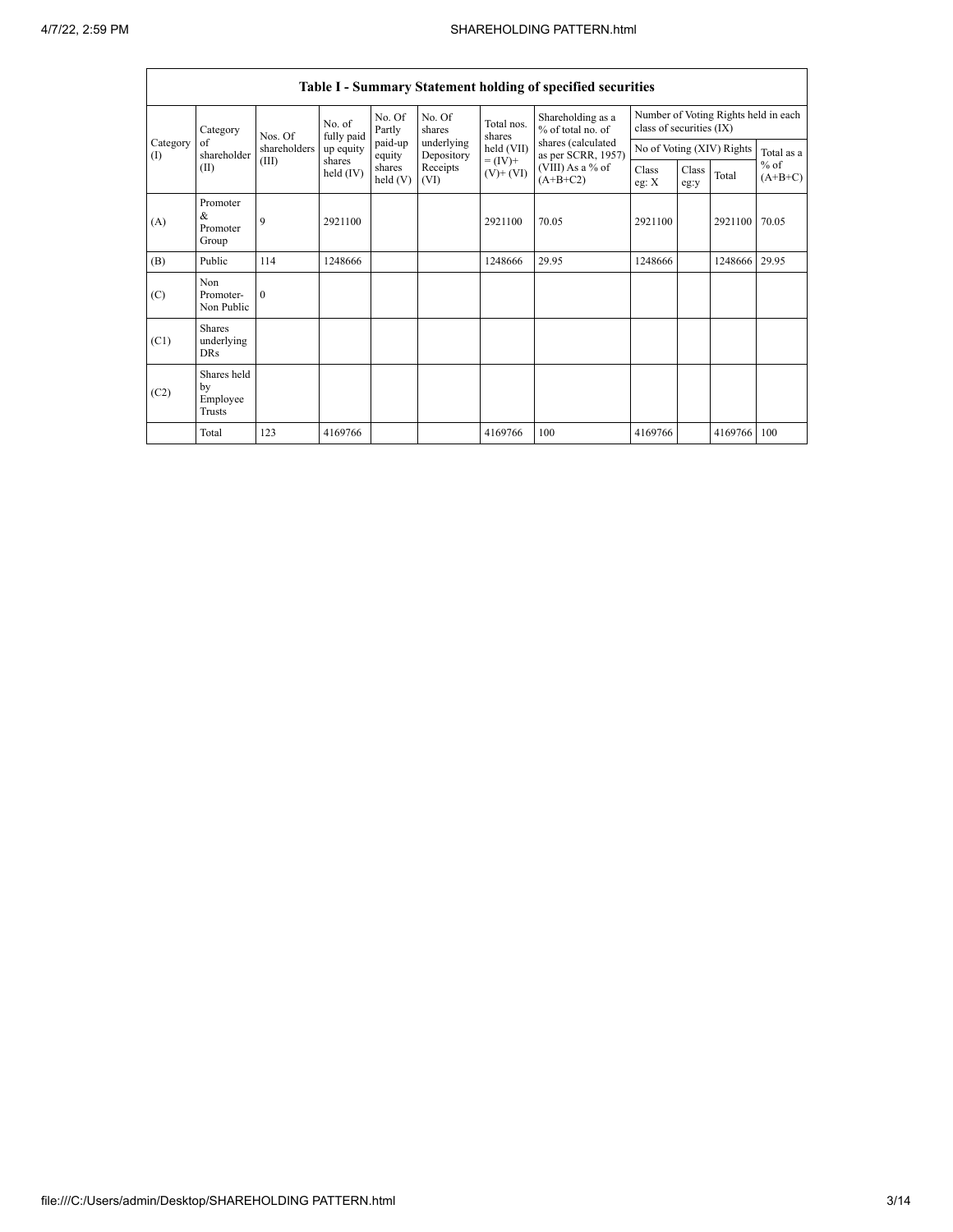|                 | <b>Table I - Summary Statement holding of specified securities</b> |              |                       |                      |                          |                                                                    |                                          |                                                                  |               |                           |                     |
|-----------------|--------------------------------------------------------------------|--------------|-----------------------|----------------------|--------------------------|--------------------------------------------------------------------|------------------------------------------|------------------------------------------------------------------|---------------|---------------------------|---------------------|
|                 | Category                                                           | Nos. Of      | No. of<br>fully paid  | No. Of<br>Partly     | No. Of<br>shares         | Total nos.<br>shares<br>held (VII)<br>$= (IV) +$<br>$(V)$ + $(VI)$ | Shareholding as a<br>% of total no. of   | Number of Voting Rights held in each<br>class of securities (IX) |               |                           |                     |
| Category<br>(1) | of<br>shareholder                                                  | shareholders | up equity             | paid-up<br>equity    | underlying<br>Depository |                                                                    | shares (calculated<br>as per SCRR, 1957) |                                                                  |               | No of Voting (XIV) Rights | Total as a          |
| (II)            |                                                                    | (III)        | shares<br>held $(IV)$ | shares<br>held $(V)$ | Receipts<br>(VI)         |                                                                    | (VIII) As a % of<br>$(A+B+C2)$           | Class<br>eg: $X$                                                 | Class<br>eg:y | Total                     | $%$ of<br>$(A+B+C)$ |
| (A)             | Promoter<br>&<br>Promoter<br>Group                                 | 9            | 2921100               |                      |                          | 2921100                                                            | 70.05                                    | 2921100                                                          |               | 2921100                   | 70.05               |
| (B)             | Public                                                             | 114          | 1248666               |                      |                          | 1248666                                                            | 29.95                                    | 1248666                                                          |               | 1248666                   | 29.95               |
| (C)             | Non<br>Promoter-<br>Non Public                                     | $\Omega$     |                       |                      |                          |                                                                    |                                          |                                                                  |               |                           |                     |
| (C1)            | <b>Shares</b><br>underlying<br><b>DRs</b>                          |              |                       |                      |                          |                                                                    |                                          |                                                                  |               |                           |                     |
| (C2)            | Shares held<br>by<br>Employee<br>Trusts                            |              |                       |                      |                          |                                                                    |                                          |                                                                  |               |                           |                     |
|                 | Total                                                              | 123          | 4169766               |                      |                          | 4169766                                                            | 100                                      | 4169766                                                          |               | 4169766                   | 100                 |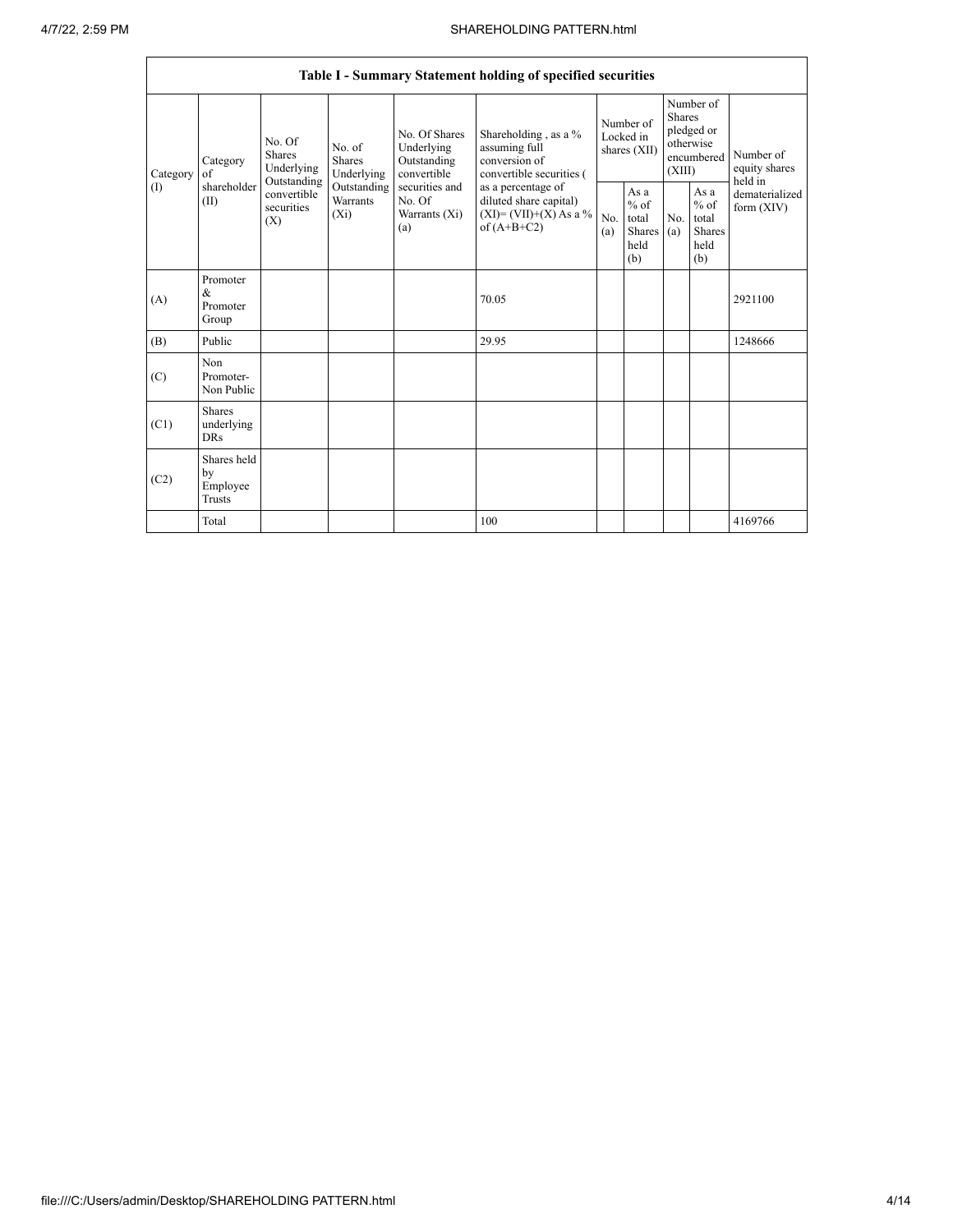|          |                                            |                                                 |                                       |                                                           | Table I - Summary Statement holding of specified securities                              |                                          |                                                           |                                                                               |                                                         |                                       |
|----------|--------------------------------------------|-------------------------------------------------|---------------------------------------|-----------------------------------------------------------|------------------------------------------------------------------------------------------|------------------------------------------|-----------------------------------------------------------|-------------------------------------------------------------------------------|---------------------------------------------------------|---------------------------------------|
| Category | Category<br>of                             | No. Of<br><b>Shares</b><br>Underlying           | No. of<br><b>Shares</b><br>Underlying | No. Of Shares<br>Underlying<br>Outstanding<br>convertible | Shareholding, as a %<br>assuming full<br>conversion of<br>convertible securities (       | Number of<br>Locked in<br>shares $(XII)$ |                                                           | Number of<br><b>Shares</b><br>pledged or<br>otherwise<br>encumbered<br>(XIII) |                                                         | Number of<br>equity shares<br>held in |
| (1)      | shareholder<br>(II)                        | Outstanding<br>convertible<br>securities<br>(X) | Outstanding<br>Warrants<br>$(X_i)$    | securities and<br>No. Of<br>Warrants (Xi)<br>(a)          | as a percentage of<br>diluted share capital)<br>$(XI)=(VII)+(X) As a %$<br>of $(A+B+C2)$ | No.<br>(a)                               | As $a$<br>$%$ of<br>total<br><b>Shares</b><br>held<br>(b) | No.<br>(a)                                                                    | As a<br>$%$ of<br>total<br><b>Shares</b><br>held<br>(b) | dematerialized<br>form $(XIV)$        |
| (A)      | Promoter<br>&<br>Promoter<br>Group         |                                                 |                                       |                                                           | 70.05                                                                                    |                                          |                                                           |                                                                               |                                                         | 2921100                               |
| (B)      | Public                                     |                                                 |                                       |                                                           | 29.95                                                                                    |                                          |                                                           |                                                                               |                                                         | 1248666                               |
| (C)      | N <sub>on</sub><br>Promoter-<br>Non Public |                                                 |                                       |                                                           |                                                                                          |                                          |                                                           |                                                                               |                                                         |                                       |
| (C1)     | <b>Shares</b><br>underlying<br><b>DRs</b>  |                                                 |                                       |                                                           |                                                                                          |                                          |                                                           |                                                                               |                                                         |                                       |
| (C2)     | Shares held<br>by<br>Employee<br>Trusts    |                                                 |                                       |                                                           |                                                                                          |                                          |                                                           |                                                                               |                                                         |                                       |
|          | Total                                      |                                                 |                                       |                                                           | 100                                                                                      |                                          |                                                           |                                                                               |                                                         | 4169766                               |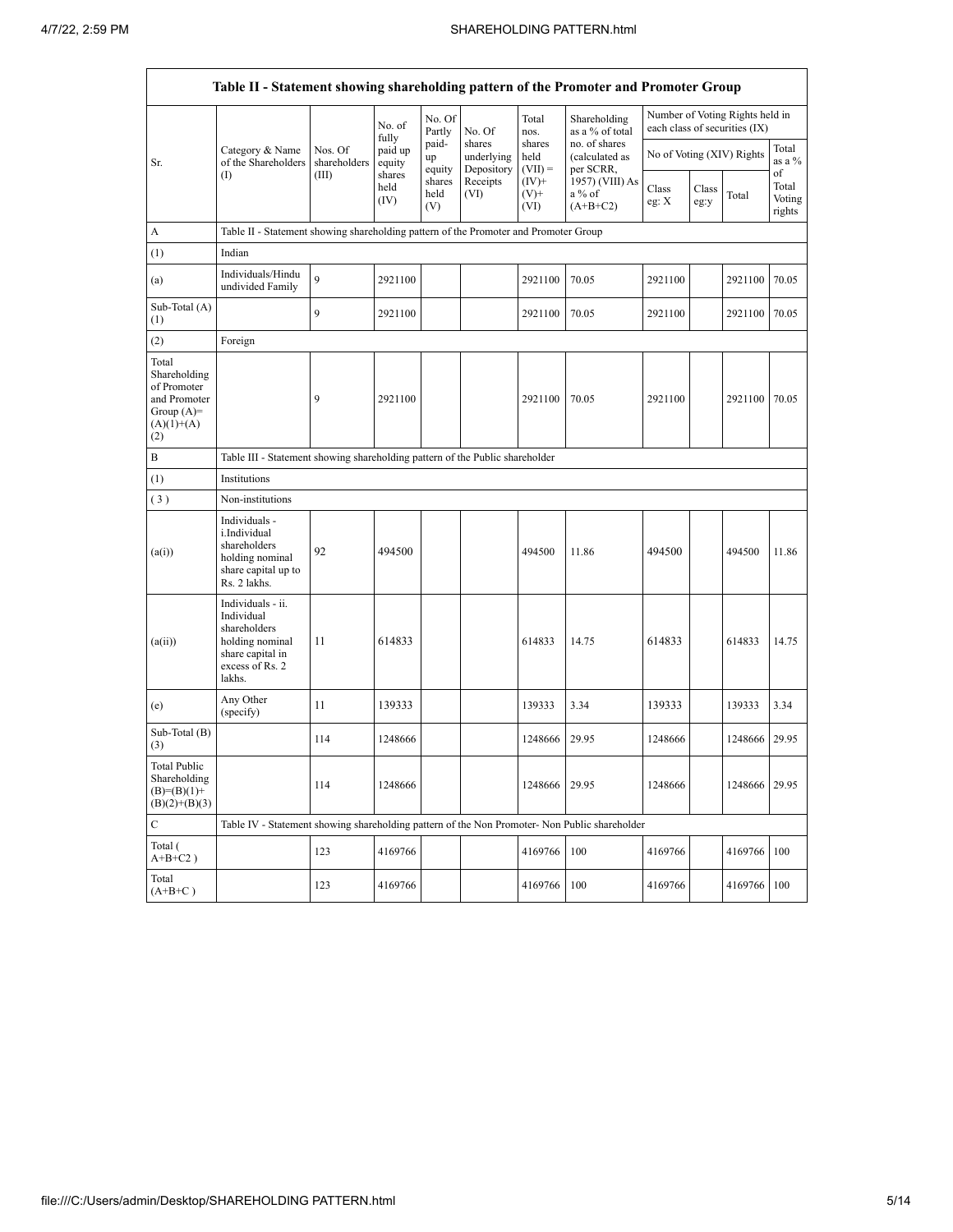$\mathbf{r}$ 

|                                                                                             | Table II - Statement showing shareholding pattern of the Promoter and Promoter Group                                |                                                                              |                            |                       |                                    |                             |                                              |                  |               |                                                                  |                                 |
|---------------------------------------------------------------------------------------------|---------------------------------------------------------------------------------------------------------------------|------------------------------------------------------------------------------|----------------------------|-----------------------|------------------------------------|-----------------------------|----------------------------------------------|------------------|---------------|------------------------------------------------------------------|---------------------------------|
|                                                                                             |                                                                                                                     |                                                                              | No. of                     | No. Of<br>Partly      | No. Of                             | Total<br>nos.               | Shareholding<br>as a % of total              |                  |               | Number of Voting Rights held in<br>each class of securities (IX) |                                 |
| Sr.                                                                                         | Category & Name<br>of the Shareholders                                                                              | Nos. Of<br>shareholders                                                      | fully<br>paid up<br>equity | paid-<br>up<br>equity | shares<br>underlying<br>Depository | shares<br>held<br>$(VII) =$ | no. of shares<br>(calculated as<br>per SCRR, |                  |               | No of Voting (XIV) Rights                                        | Total<br>as a %                 |
|                                                                                             | $($ I                                                                                                               | (III)                                                                        | shares<br>held<br>(IV)     | shares<br>held<br>(V) | Receipts<br>(VI)                   | $(IV)+$<br>$(V)$ +<br>(VI)  | 1957) (VIII) As<br>a % of<br>$(A+B+C2)$      | Class<br>eg: $X$ | Class<br>eg:y | Total                                                            | of<br>Total<br>Voting<br>rights |
| A                                                                                           | Table II - Statement showing shareholding pattern of the Promoter and Promoter Group                                |                                                                              |                            |                       |                                    |                             |                                              |                  |               |                                                                  |                                 |
| (1)                                                                                         | Indian                                                                                                              |                                                                              |                            |                       |                                    |                             |                                              |                  |               |                                                                  |                                 |
| (a)                                                                                         | Individuals/Hindu<br>undivided Family                                                                               | $\mathbf{Q}$                                                                 | 2921100                    |                       |                                    | 2921100                     | 70.05                                        | 2921100          |               | 2921100                                                          | 70.05                           |
| Sub-Total (A)<br>(1)                                                                        |                                                                                                                     | 9                                                                            | 2921100                    |                       |                                    | 2921100                     | 70.05                                        | 2921100          |               | 2921100                                                          | 70.05                           |
| (2)                                                                                         | Foreign                                                                                                             |                                                                              |                            |                       |                                    |                             |                                              |                  |               |                                                                  |                                 |
| Total<br>Shareholding<br>of Promoter<br>and Promoter<br>Group $(A)=$<br>$(A)(1)+(A)$<br>(2) |                                                                                                                     | 9                                                                            | 2921100                    |                       |                                    | 2921100                     | 70.05                                        | 2921100          |               | 2921100                                                          | 70.05                           |
| B                                                                                           |                                                                                                                     | Table III - Statement showing shareholding pattern of the Public shareholder |                            |                       |                                    |                             |                                              |                  |               |                                                                  |                                 |
| (1)                                                                                         | Institutions                                                                                                        |                                                                              |                            |                       |                                    |                             |                                              |                  |               |                                                                  |                                 |
| (3)                                                                                         | Non-institutions                                                                                                    |                                                                              |                            |                       |                                    |                             |                                              |                  |               |                                                                  |                                 |
| (a(i))                                                                                      | Individuals -<br>i.Individual<br>shareholders<br>holding nominal<br>share capital up to<br>Rs. 2 lakhs.             | 92                                                                           | 494500                     |                       |                                    | 494500                      | 11.86                                        | 494500           |               | 494500                                                           | 11.86                           |
| (a(ii))                                                                                     | Individuals - ii.<br>Individual<br>shareholders<br>holding nominal<br>share capital in<br>excess of Rs. 2<br>lakhs. | 11                                                                           | 614833                     |                       |                                    | 614833                      | 14.75                                        | 614833           |               | 614833                                                           | 14.75                           |
| (e)                                                                                         | Any Other<br>(specify)                                                                                              | 11                                                                           | 139333                     |                       |                                    | 139333                      | 3.34                                         | 139333           |               | 139333                                                           | 3.34                            |
| Sub-Total (B)<br>(3)                                                                        |                                                                                                                     | 114                                                                          | 1248666                    |                       |                                    | 1248666                     | 29.95                                        | 1248666          |               | 1248666                                                          | 29.95                           |
| <b>Total Public</b><br>Shareholding<br>$(B)= (B)(1) +$<br>$(B)(2)+(B)(3)$                   |                                                                                                                     | 114                                                                          | 1248666                    |                       |                                    | 1248666                     | 29.95                                        | 1248666          |               | 1248666 29.95                                                    |                                 |
| $\mathbf C$                                                                                 | Table IV - Statement showing shareholding pattern of the Non Promoter- Non Public shareholder                       |                                                                              |                            |                       |                                    |                             |                                              |                  |               |                                                                  |                                 |
| Total (<br>$A+B+C2$ )                                                                       |                                                                                                                     | 123                                                                          | 4169766                    |                       |                                    | 4169766                     | 100                                          | 4169766          |               | 4169766                                                          | 100                             |
| Total<br>$(A+B+C)$                                                                          |                                                                                                                     | 123                                                                          | 4169766                    |                       |                                    | 4169766                     | 100                                          | 4169766          |               | 4169766                                                          | 100                             |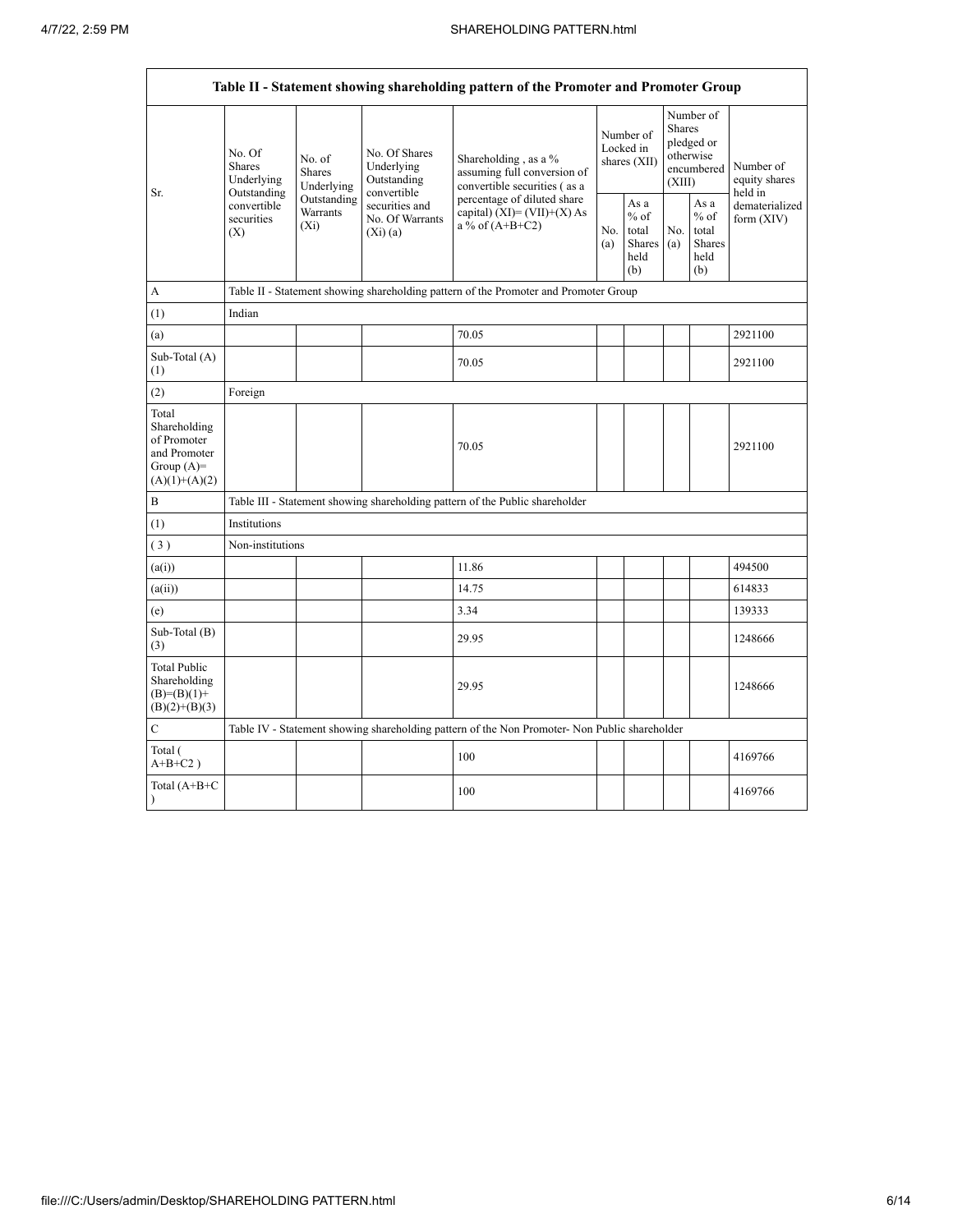$\overline{\phantom{0}}$ 

|                                                                                         |                                                                                       |                                       |                                                           | Table II - Statement showing shareholding pattern of the Promoter and Promoter Group          |  |                                                                    |                         |                                                         |                                       |
|-----------------------------------------------------------------------------------------|---------------------------------------------------------------------------------------|---------------------------------------|-----------------------------------------------------------|-----------------------------------------------------------------------------------------------|--|--------------------------------------------------------------------|-------------------------|---------------------------------------------------------|---------------------------------------|
| Sr.                                                                                     | No. Of<br><b>Shares</b><br>Underlying                                                 | No. of<br><b>Shares</b><br>Underlying | No. Of Shares<br>Underlying<br>Outstanding<br>convertible | Shareholding, as a %<br>assuming full conversion of<br>convertible securities (as a           |  | Number of<br>Locked in<br>shares (XII)                             | <b>Shares</b><br>(XIII) | Number of<br>pledged or<br>otherwise<br>encumbered      | Number of<br>equity shares<br>held in |
|                                                                                         | Outstanding<br>Outstanding<br>convertible<br>Warrants<br>securities<br>$(X_i)$<br>(X) |                                       | securities and<br>No. Of Warrants<br>(Xi)(a)              | percentage of diluted share<br>capital) $(XI) = (VII)+(X) As$<br>a % of $(A+B+C2)$            |  | As $\mathbf{a}$<br>$%$ of<br>total<br><b>Shares</b><br>held<br>(b) | No.<br>(a)              | As a<br>$%$ of<br>total<br><b>Shares</b><br>held<br>(b) | dematerialized<br>form $(XIV)$        |
| A                                                                                       | Table II - Statement showing shareholding pattern of the Promoter and Promoter Group  |                                       |                                                           |                                                                                               |  |                                                                    |                         |                                                         |                                       |
| (1)                                                                                     | Indian                                                                                |                                       |                                                           |                                                                                               |  |                                                                    |                         |                                                         |                                       |
| (a)                                                                                     |                                                                                       |                                       |                                                           | 70.05                                                                                         |  |                                                                    |                         |                                                         | 2921100                               |
| Sub-Total (A)<br>(1)                                                                    |                                                                                       |                                       |                                                           | 70.05                                                                                         |  |                                                                    |                         |                                                         | 2921100                               |
| (2)                                                                                     | Foreign                                                                               |                                       |                                                           |                                                                                               |  |                                                                    |                         |                                                         |                                       |
| Total<br>Shareholding<br>of Promoter<br>and Promoter<br>Group $(A)=$<br>$(A)(1)+(A)(2)$ |                                                                                       |                                       |                                                           | 70.05                                                                                         |  |                                                                    |                         |                                                         | 2921100                               |
| B                                                                                       |                                                                                       |                                       |                                                           | Table III - Statement showing shareholding pattern of the Public shareholder                  |  |                                                                    |                         |                                                         |                                       |
| (1)                                                                                     | Institutions                                                                          |                                       |                                                           |                                                                                               |  |                                                                    |                         |                                                         |                                       |
| (3)                                                                                     | Non-institutions                                                                      |                                       |                                                           |                                                                                               |  |                                                                    |                         |                                                         |                                       |
| (a(i))                                                                                  |                                                                                       |                                       |                                                           | 11.86                                                                                         |  |                                                                    |                         |                                                         | 494500                                |
| (a(ii))                                                                                 |                                                                                       |                                       |                                                           | 14.75                                                                                         |  |                                                                    |                         |                                                         | 614833                                |
| (e)                                                                                     |                                                                                       |                                       |                                                           | 3.34                                                                                          |  |                                                                    |                         |                                                         | 139333                                |
| Sub-Total (B)<br>(3)                                                                    |                                                                                       |                                       |                                                           | 29.95                                                                                         |  |                                                                    |                         |                                                         | 1248666                               |
| <b>Total Public</b><br>Shareholding<br>$(B)= (B)(1) +$<br>$(B)(2)+(B)(3)$               |                                                                                       |                                       |                                                           | 29.95                                                                                         |  |                                                                    |                         |                                                         | 1248666                               |
| $\overline{C}$                                                                          |                                                                                       |                                       |                                                           | Table IV - Statement showing shareholding pattern of the Non Promoter- Non Public shareholder |  |                                                                    |                         |                                                         |                                       |
| Total (<br>$A+B+C2$ )                                                                   |                                                                                       |                                       |                                                           | 100                                                                                           |  |                                                                    |                         |                                                         | 4169766                               |
| Total $(A+B+C)$<br>$\lambda$                                                            |                                                                                       |                                       |                                                           | 100                                                                                           |  |                                                                    |                         |                                                         | 4169766                               |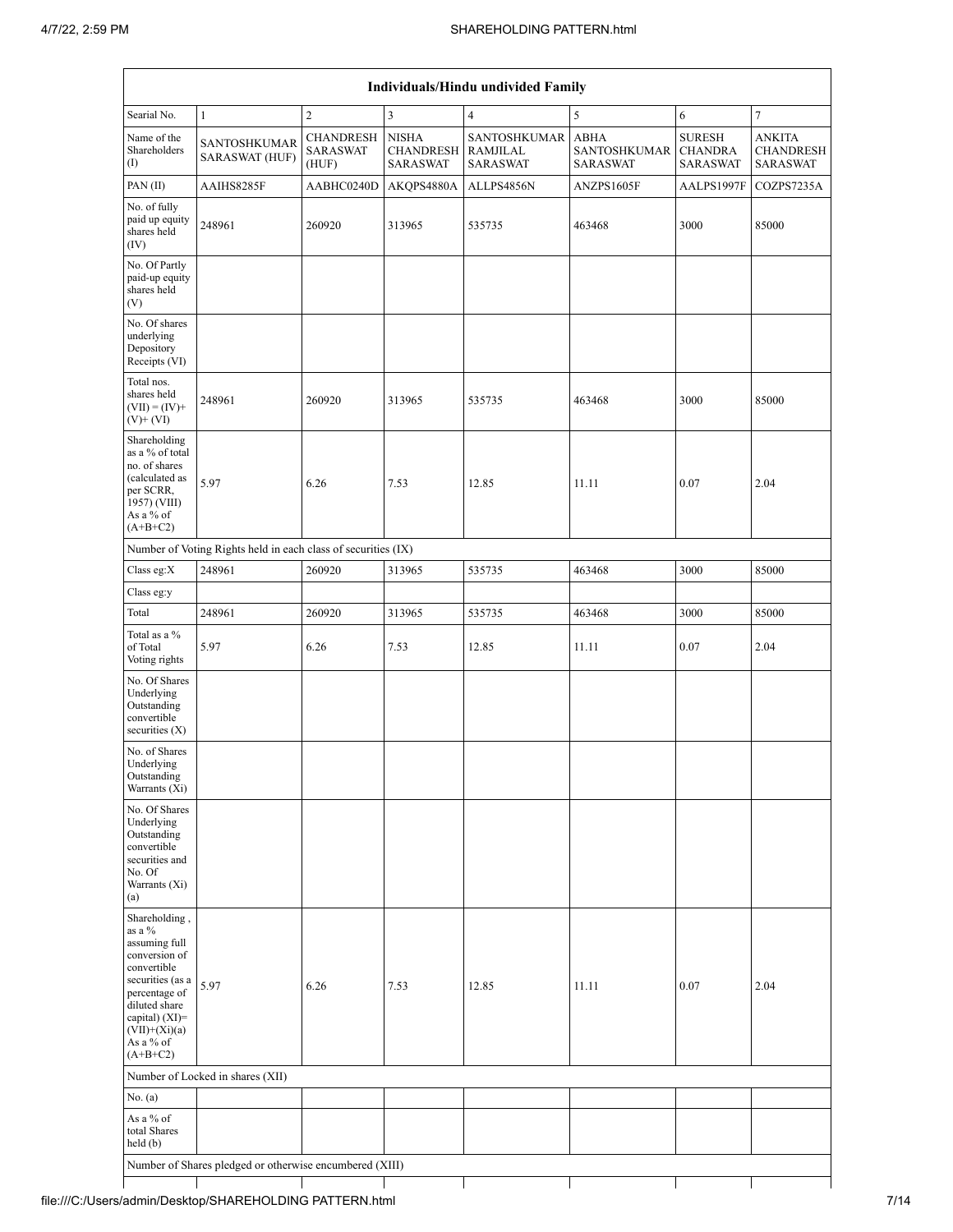| Searial No.                                                                                                                                                                                    | $\mathbf{1}$                                                  | $\mathbf{2}$                                 | $\sqrt{3}$                                          | $\overline{4}$                                   | $\sqrt{5}$                      | 6                                                  | $\boldsymbol{7}$                                     |
|------------------------------------------------------------------------------------------------------------------------------------------------------------------------------------------------|---------------------------------------------------------------|----------------------------------------------|-----------------------------------------------------|--------------------------------------------------|---------------------------------|----------------------------------------------------|------------------------------------------------------|
| Name of the<br>Shareholders<br>(1)                                                                                                                                                             | SANTOSHKUMAR<br><b>SARASWAT (HUF)</b>                         | <b>CHANDRESH</b><br><b>SARASWAT</b><br>(HUF) | <b>NISHA</b><br><b>CHANDRESH</b><br><b>SARASWAT</b> | SANTOSHKUMAR ABHA<br>RAMJILAL<br><b>SARASWAT</b> | SANTOSHKUMAR<br><b>SARASWAT</b> | <b>SURESH</b><br><b>CHANDRA</b><br><b>SARASWAT</b> | <b>ANKITA</b><br><b>CHANDRESH</b><br><b>SARASWAT</b> |
| PAN(II)                                                                                                                                                                                        | AAIHS8285F                                                    | AABHC0240D                                   | AKQPS4880A                                          | ALLPS4856N                                       | ANZPS1605F                      | AALPS1997F                                         | COZPS7235A                                           |
| No. of fully<br>paid up equity<br>shares held<br>(IV)                                                                                                                                          | 248961                                                        | 260920                                       | 313965                                              | 535735                                           | 463468                          | 3000                                               | 85000                                                |
| No. Of Partly<br>paid-up equity<br>shares held<br>(V)                                                                                                                                          |                                                               |                                              |                                                     |                                                  |                                 |                                                    |                                                      |
| No. Of shares<br>underlying<br>Depository<br>Receipts (VI)                                                                                                                                     |                                                               |                                              |                                                     |                                                  |                                 |                                                    |                                                      |
| Total nos.<br>shares held<br>$(VII) = (IV) +$<br>$(V)$ + $(VI)$                                                                                                                                | 248961                                                        | 260920                                       | 313965                                              | 535735                                           | 463468                          | 3000                                               | 85000                                                |
| Shareholding<br>as a % of total<br>no. of shares<br>(calculated as<br>per SCRR,<br>1957) (VIII)<br>As a % of<br>$(A+B+C2)$                                                                     | 5.97                                                          | 6.26                                         | 7.53                                                | 12.85                                            | 11.11                           | 0.07                                               | 2.04                                                 |
|                                                                                                                                                                                                | Number of Voting Rights held in each class of securities (IX) |                                              |                                                     |                                                  |                                 |                                                    |                                                      |
| Class eg:X                                                                                                                                                                                     | 248961                                                        | 260920                                       | 313965                                              | 535735                                           | 463468                          | 3000                                               | 85000                                                |
| Class eg:y                                                                                                                                                                                     |                                                               |                                              |                                                     |                                                  |                                 |                                                    |                                                      |
| Total                                                                                                                                                                                          | 248961                                                        | 260920                                       | 313965                                              | 535735                                           | 463468                          | 3000                                               | 85000                                                |
| Total as a %<br>of Total<br>Voting rights                                                                                                                                                      | 5.97                                                          | 6.26                                         | 7.53                                                | 12.85                                            | 11.11                           | 0.07                                               | 2.04                                                 |
| No. Of Shares<br>Underlying<br>Outstanding<br>convertible<br>securities $(X)$                                                                                                                  |                                                               |                                              |                                                     |                                                  |                                 |                                                    |                                                      |
| No. of Shares<br>Underlying<br>Outstanding<br>Warrants (Xi)                                                                                                                                    |                                                               |                                              |                                                     |                                                  |                                 |                                                    |                                                      |
| No. Of Shares<br>Underlying<br>Outstanding<br>convertible<br>securities and<br>No. Of<br>Warrants (Xi)<br>(a)                                                                                  |                                                               |                                              |                                                     |                                                  |                                 |                                                    |                                                      |
| Shareholding,<br>as a %<br>assuming full<br>conversion of<br>convertible<br>securities (as a<br>percentage of<br>diluted share<br>capital) (XI)=<br>$(VII)+(Xi)(a)$<br>As a % of<br>$(A+B+C2)$ | 5.97                                                          | 6.26                                         | 7.53                                                | 12.85                                            | 11.11                           | 0.07                                               | 2.04                                                 |
|                                                                                                                                                                                                | Number of Locked in shares (XII)                              |                                              |                                                     |                                                  |                                 |                                                    |                                                      |
| No. $(a)$                                                                                                                                                                                      |                                                               |                                              |                                                     |                                                  |                                 |                                                    |                                                      |
| As a % of<br>total Shares                                                                                                                                                                      |                                                               |                                              |                                                     |                                                  |                                 |                                                    |                                                      |
| held (b)                                                                                                                                                                                       |                                                               |                                              |                                                     |                                                  |                                 |                                                    |                                                      |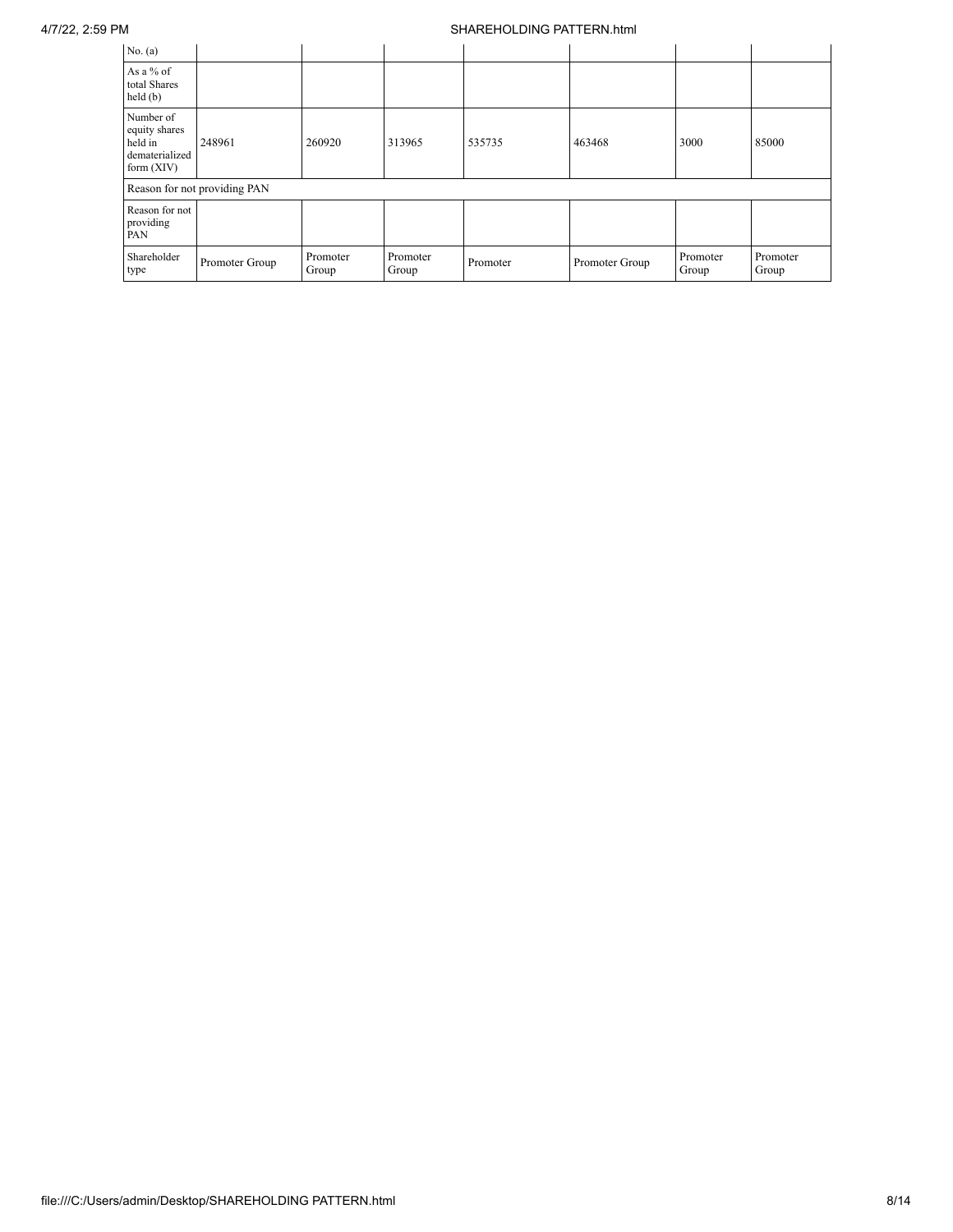## 4/7/22, 2:59 PM SHAREHOLDING PATTERN.html

| No. $(a)$                                                               |                              |                   |                   |          |                |                   |                   |
|-------------------------------------------------------------------------|------------------------------|-------------------|-------------------|----------|----------------|-------------------|-------------------|
| As a % of<br>total Shares<br>held(b)                                    |                              |                   |                   |          |                |                   |                   |
| Number of<br>equity shares<br>held in<br>dematerialized<br>form $(XIV)$ | 248961                       | 260920            | 313965            | 535735   | 463468         | 3000              | 85000             |
|                                                                         | Reason for not providing PAN |                   |                   |          |                |                   |                   |
| Reason for not<br>providing<br>PAN                                      |                              |                   |                   |          |                |                   |                   |
| Shareholder<br>type                                                     | Promoter Group               | Promoter<br>Group | Promoter<br>Group | Promoter | Promoter Group | Promoter<br>Group | Promoter<br>Group |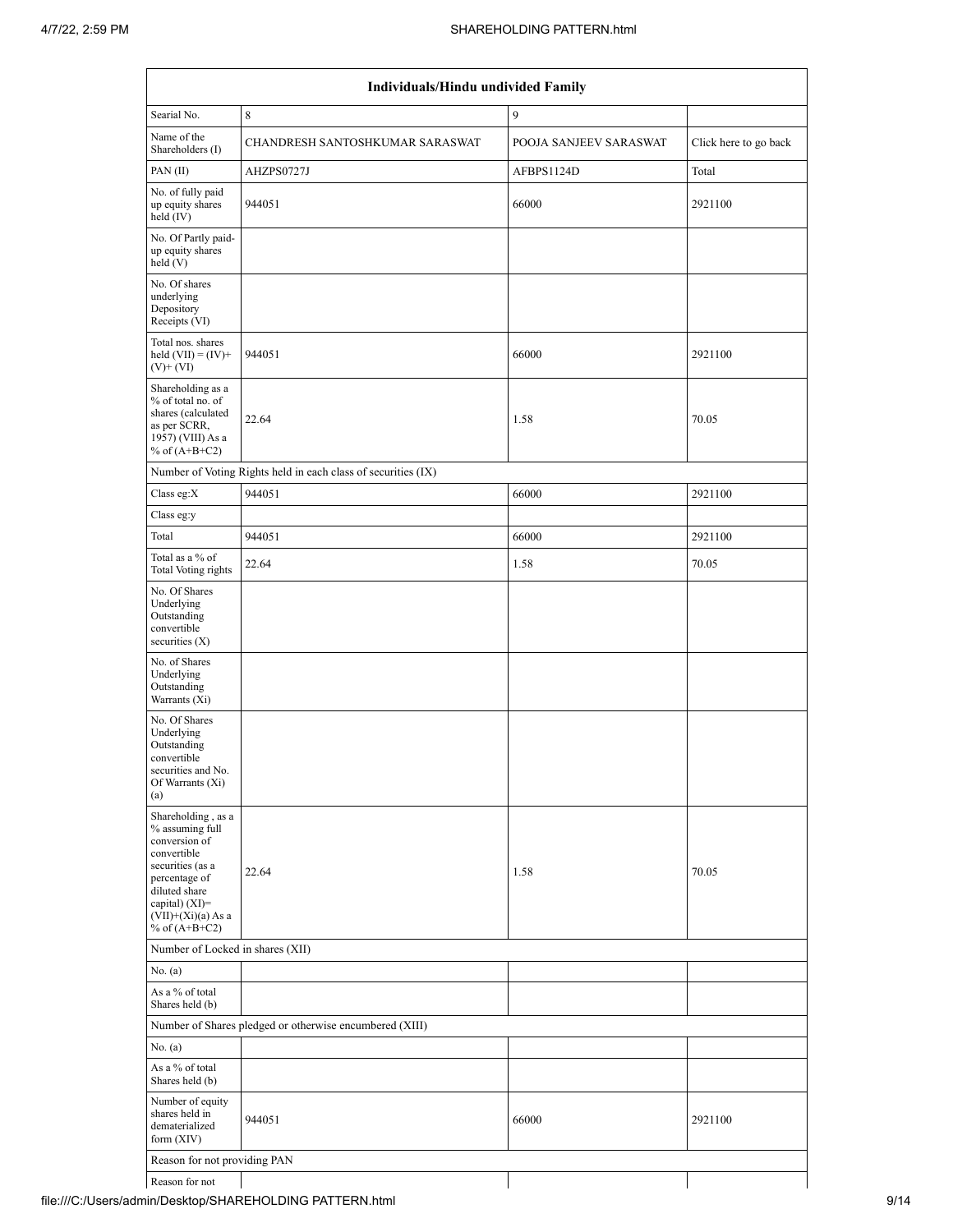|                                                                                                                                                                                          | Individuals/Hindu undivided Family                            |                        |                       |  |  |  |  |  |  |  |
|------------------------------------------------------------------------------------------------------------------------------------------------------------------------------------------|---------------------------------------------------------------|------------------------|-----------------------|--|--|--|--|--|--|--|
| Searial No.                                                                                                                                                                              | 8                                                             | 9                      |                       |  |  |  |  |  |  |  |
| Name of the<br>Shareholders (I)                                                                                                                                                          | CHANDRESH SANTOSHKUMAR SARASWAT                               | POOJA SANJEEV SARASWAT | Click here to go back |  |  |  |  |  |  |  |
| PAN(II)                                                                                                                                                                                  | AHZPS0727J                                                    | AFBPS1124D             | Total                 |  |  |  |  |  |  |  |
| No. of fully paid<br>up equity shares<br>held (IV)                                                                                                                                       | 944051                                                        | 66000                  | 2921100               |  |  |  |  |  |  |  |
| No. Of Partly paid-<br>up equity shares<br>held $(V)$                                                                                                                                    |                                                               |                        |                       |  |  |  |  |  |  |  |
| No. Of shares<br>underlying<br>Depository<br>Receipts (VI)                                                                                                                               |                                                               |                        |                       |  |  |  |  |  |  |  |
| Total nos. shares<br>held $(VII) = (IV) +$<br>$(V)$ + $(VI)$                                                                                                                             | 944051                                                        | 66000                  | 2921100               |  |  |  |  |  |  |  |
| Shareholding as a<br>% of total no. of<br>shares (calculated<br>as per SCRR,<br>1957) (VIII) As a<br>% of $(A+B+C2)$                                                                     | 22.64                                                         | 1.58                   | 70.05                 |  |  |  |  |  |  |  |
|                                                                                                                                                                                          | Number of Voting Rights held in each class of securities (IX) |                        |                       |  |  |  |  |  |  |  |
| Class eg: $X$                                                                                                                                                                            | 944051                                                        | 66000                  | 2921100               |  |  |  |  |  |  |  |
| Class eg:y                                                                                                                                                                               |                                                               |                        |                       |  |  |  |  |  |  |  |
| Total                                                                                                                                                                                    | 944051                                                        | 66000                  | 2921100               |  |  |  |  |  |  |  |
| Total as a % of<br>Total Voting rights                                                                                                                                                   | 22.64                                                         | 1.58                   | 70.05                 |  |  |  |  |  |  |  |
| No. Of Shares<br>Underlying<br>Outstanding<br>convertible<br>securities $(X)$                                                                                                            |                                                               |                        |                       |  |  |  |  |  |  |  |
| No. of Shares<br>Underlying<br>Outstanding<br>Warrants (Xi)                                                                                                                              |                                                               |                        |                       |  |  |  |  |  |  |  |
| No. Of Shares<br>Underlying<br>Outstanding<br>convertible<br>securities and No.<br>Of Warrants (Xi)<br>(a)                                                                               |                                                               |                        |                       |  |  |  |  |  |  |  |
| Shareholding, as a<br>% assuming full<br>conversion of<br>convertible<br>securities (as a<br>percentage of<br>diluted share<br>capital) (XI)=<br>$(VII)+(Xi)(a)$ As a<br>% of $(A+B+C2)$ | 22.64                                                         | 1.58                   | 70.05                 |  |  |  |  |  |  |  |
| Number of Locked in shares (XII)                                                                                                                                                         |                                                               |                        |                       |  |  |  |  |  |  |  |
| No. $(a)$                                                                                                                                                                                |                                                               |                        |                       |  |  |  |  |  |  |  |
| As a % of total<br>Shares held (b)                                                                                                                                                       |                                                               |                        |                       |  |  |  |  |  |  |  |
|                                                                                                                                                                                          | Number of Shares pledged or otherwise encumbered (XIII)       |                        |                       |  |  |  |  |  |  |  |
| No. (a)                                                                                                                                                                                  |                                                               |                        |                       |  |  |  |  |  |  |  |
| As a % of total<br>Shares held (b)                                                                                                                                                       |                                                               |                        |                       |  |  |  |  |  |  |  |
| Number of equity<br>shares held in<br>dematerialized<br>form $(XIV)$                                                                                                                     | 944051                                                        | 66000                  | 2921100               |  |  |  |  |  |  |  |
| Reason for not providing PAN                                                                                                                                                             |                                                               |                        |                       |  |  |  |  |  |  |  |
| Reason for not                                                                                                                                                                           |                                                               |                        |                       |  |  |  |  |  |  |  |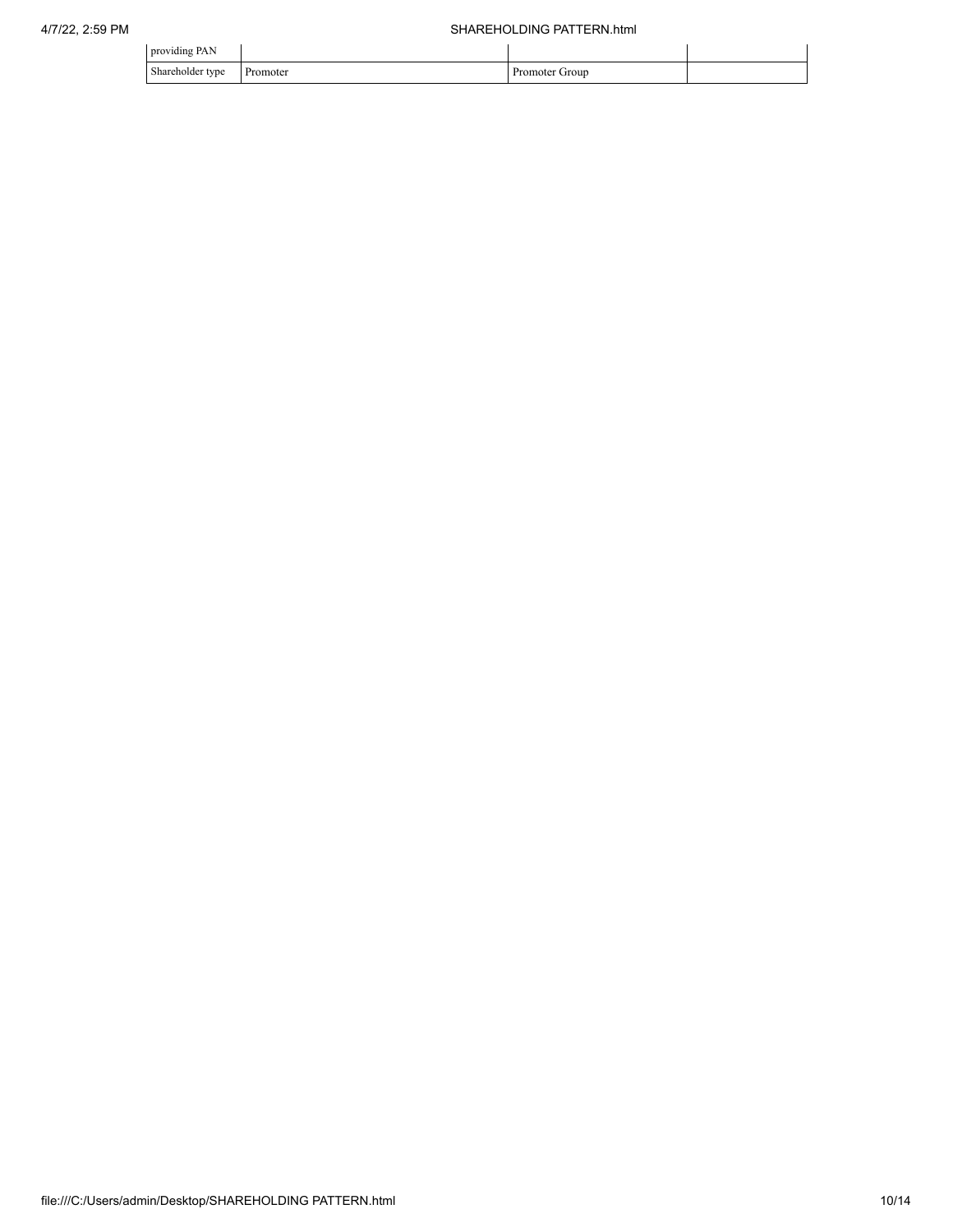| providing PAN    |          |                          |  |
|------------------|----------|--------------------------|--|
| Shareholder type | Promoter | <b>Promoter</b><br>Group |  |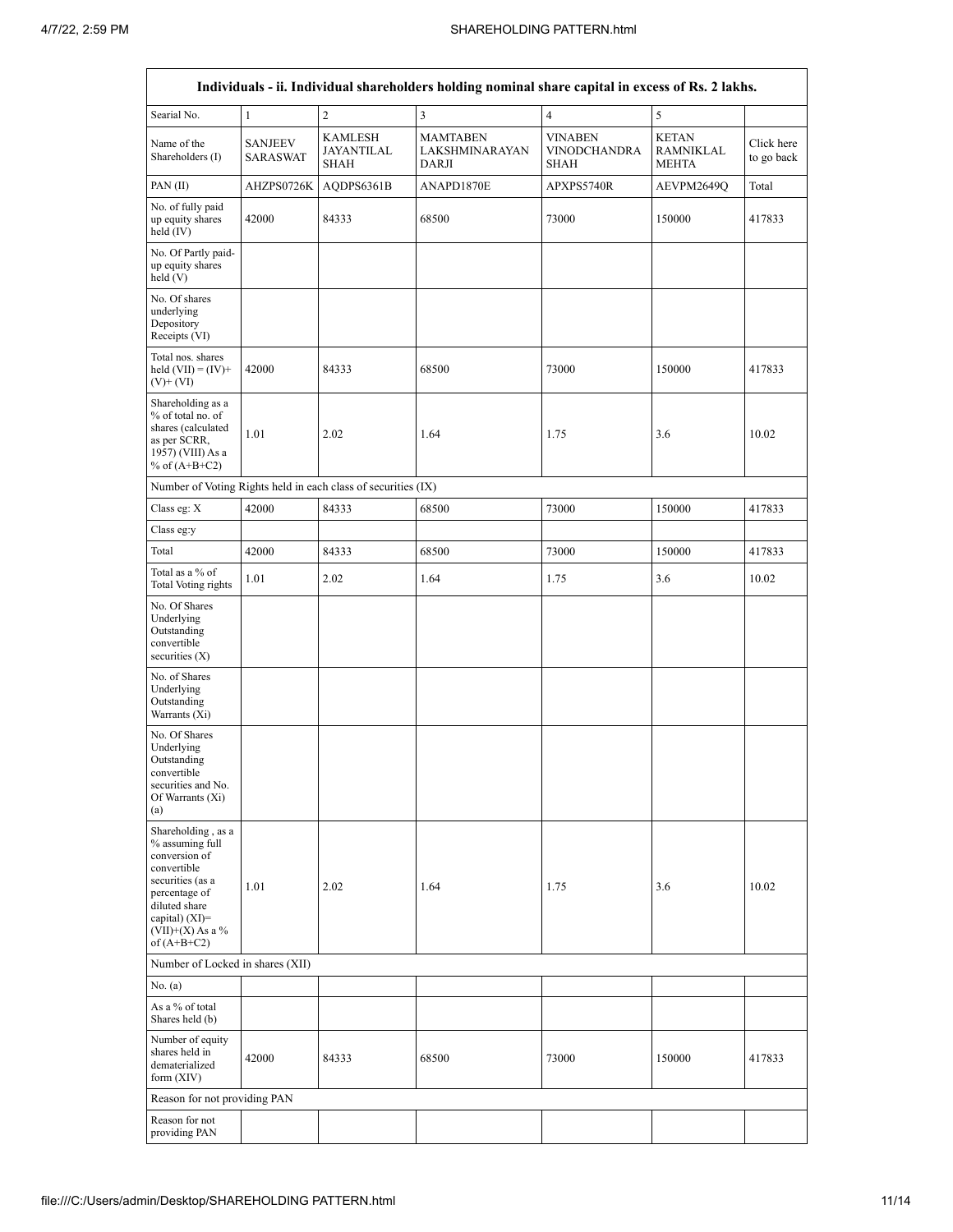$\overline{\phantom{a}}$ 

|                                                                                                                                                                                         |                                   |                                                               | Individuals - ii. Individual shareholders holding nominal share capital in excess of Rs. 2 lakhs. |                                                      |                                                  |                          |
|-----------------------------------------------------------------------------------------------------------------------------------------------------------------------------------------|-----------------------------------|---------------------------------------------------------------|---------------------------------------------------------------------------------------------------|------------------------------------------------------|--------------------------------------------------|--------------------------|
| Searial No.                                                                                                                                                                             | $\mathbf{1}$                      | $\overline{c}$                                                | 3                                                                                                 | $\overline{4}$                                       | 5                                                |                          |
| Name of the<br>Shareholders (I)                                                                                                                                                         | <b>SANJEEV</b><br><b>SARASWAT</b> | <b>KAMLESH</b><br>JAYANTILAL<br><b>SHAH</b>                   | <b>MAMTABEN</b><br><b>LAKSHMINARAYAN</b><br>DARJI                                                 | <b>VINABEN</b><br><b>VINODCHANDRA</b><br><b>SHAH</b> | <b>KETAN</b><br><b>RAMNIKLAL</b><br><b>MEHTA</b> | Click here<br>to go back |
| PAN (II)                                                                                                                                                                                | AHZPS0726K                        | AQDPS6361B                                                    | ANAPD1870E                                                                                        | APXPS5740R                                           | AEVPM2649Q                                       | Total                    |
| No. of fully paid<br>up equity shares<br>held $(IV)$                                                                                                                                    | 42000                             | 84333                                                         | 68500                                                                                             | 73000                                                | 150000                                           | 417833                   |
| No. Of Partly paid-<br>up equity shares<br>held (V)                                                                                                                                     |                                   |                                                               |                                                                                                   |                                                      |                                                  |                          |
| No. Of shares<br>underlying<br>Depository<br>Receipts (VI)                                                                                                                              |                                   |                                                               |                                                                                                   |                                                      |                                                  |                          |
| Total nos. shares<br>held $(VII) = (IV) +$<br>$(V)$ + $(VI)$                                                                                                                            | 42000                             | 84333                                                         | 68500                                                                                             | 73000                                                | 150000                                           | 417833                   |
| Shareholding as a<br>% of total no. of<br>shares (calculated<br>as per SCRR,<br>1957) (VIII) As a<br>% of $(A+B+C2)$                                                                    | 1.01                              | 2.02                                                          | 1.64                                                                                              | 1.75                                                 | 3.6                                              | 10.02                    |
|                                                                                                                                                                                         |                                   | Number of Voting Rights held in each class of securities (IX) |                                                                                                   |                                                      |                                                  |                          |
| Class eg: X                                                                                                                                                                             | 42000                             | 84333                                                         | 68500                                                                                             | 73000                                                | 150000                                           | 417833                   |
| Class eg:y                                                                                                                                                                              |                                   |                                                               |                                                                                                   |                                                      |                                                  |                          |
| Total                                                                                                                                                                                   | 42000                             | 84333                                                         | 68500                                                                                             | 73000                                                | 150000                                           | 417833                   |
| Total as a % of<br><b>Total Voting rights</b>                                                                                                                                           | 1.01                              | 2.02                                                          | 1.64                                                                                              | 1.75                                                 | 3.6                                              | 10.02                    |
| No. Of Shares<br>Underlying<br>Outstanding<br>convertible<br>securities (X)                                                                                                             |                                   |                                                               |                                                                                                   |                                                      |                                                  |                          |
| No. of Shares<br>Underlying<br>Outstanding<br>Warrants (Xi)                                                                                                                             |                                   |                                                               |                                                                                                   |                                                      |                                                  |                          |
| No. Of Shares<br>Underlying<br>Outstanding<br>convertible<br>securities and No.<br>Of Warrants (Xi)<br>(a)                                                                              |                                   |                                                               |                                                                                                   |                                                      |                                                  |                          |
| Shareholding, as a<br>% assuming full<br>conversion of<br>convertible<br>securities (as a<br>percentage of<br>diluted share<br>capital) $(XI)$ =<br>$(VII)+(X)$ As a %<br>of $(A+B+C2)$ | 1.01                              | 2.02                                                          | 1.64                                                                                              | 1.75                                                 | 3.6                                              | 10.02                    |
| Number of Locked in shares (XII)                                                                                                                                                        |                                   |                                                               |                                                                                                   |                                                      |                                                  |                          |
| No. $(a)$                                                                                                                                                                               |                                   |                                                               |                                                                                                   |                                                      |                                                  |                          |
| As a $\%$ of total<br>Shares held (b)                                                                                                                                                   |                                   |                                                               |                                                                                                   |                                                      |                                                  |                          |
| Number of equity<br>shares held in<br>dematerialized<br>form $(XIV)$                                                                                                                    | 42000                             | 84333                                                         | 68500                                                                                             | 73000                                                | 150000                                           | 417833                   |
| Reason for not providing PAN                                                                                                                                                            |                                   |                                                               |                                                                                                   |                                                      |                                                  |                          |
| Reason for not<br>providing PAN                                                                                                                                                         |                                   |                                                               |                                                                                                   |                                                      |                                                  |                          |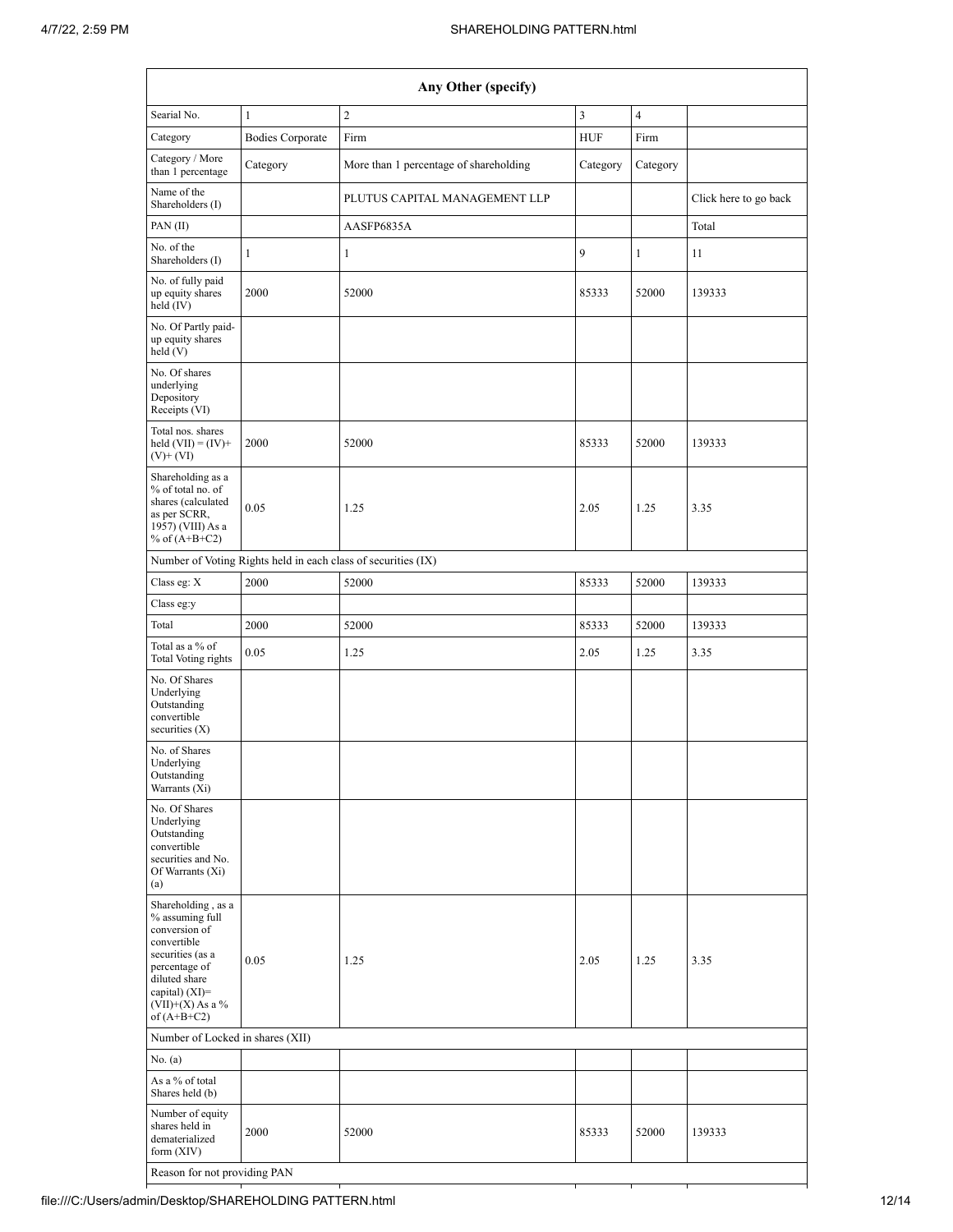|                                                                                                                                                                                        | Any Other (specify)     |                                                               |            |                |                       |  |  |  |  |  |
|----------------------------------------------------------------------------------------------------------------------------------------------------------------------------------------|-------------------------|---------------------------------------------------------------|------------|----------------|-----------------------|--|--|--|--|--|
| Searial No.                                                                                                                                                                            | $\mathbf{1}$            | $\overline{c}$                                                | 3          | $\overline{4}$ |                       |  |  |  |  |  |
| Category                                                                                                                                                                               | <b>Bodies Corporate</b> | Firm                                                          | <b>HUF</b> | Firm           |                       |  |  |  |  |  |
| Category / More<br>than 1 percentage                                                                                                                                                   | Category                | More than 1 percentage of shareholding                        | Category   | Category       |                       |  |  |  |  |  |
| Name of the<br>Shareholders (I)                                                                                                                                                        |                         | PLUTUS CAPITAL MANAGEMENT LLP                                 |            |                | Click here to go back |  |  |  |  |  |
| PAN $(II)$                                                                                                                                                                             |                         | AASFP6835A                                                    |            |                | Total                 |  |  |  |  |  |
| No. of the<br>Shareholders (I)                                                                                                                                                         | $\mathbf{1}$            | $\mathbf{1}$                                                  | 9          | $\mathbf{1}$   | 11                    |  |  |  |  |  |
| No. of fully paid<br>up equity shares<br>held (IV)                                                                                                                                     | 2000                    | 52000                                                         | 85333      | 52000          | 139333                |  |  |  |  |  |
| No. Of Partly paid-<br>up equity shares<br>held(V)                                                                                                                                     |                         |                                                               |            |                |                       |  |  |  |  |  |
| No. Of shares<br>underlying<br>Depository<br>Receipts (VI)                                                                                                                             |                         |                                                               |            |                |                       |  |  |  |  |  |
| Total nos. shares<br>held $(VII) = (IV) +$<br>$(V)$ + $(VI)$                                                                                                                           | 2000                    | 52000                                                         | 85333      | 52000          | 139333                |  |  |  |  |  |
| Shareholding as a<br>% of total no. of<br>shares (calculated<br>as per SCRR,<br>1957) (VIII) As a<br>% of $(A+B+C2)$                                                                   | 0.05                    | 1.25                                                          | 2.05       | 1.25           | 3.35                  |  |  |  |  |  |
|                                                                                                                                                                                        |                         | Number of Voting Rights held in each class of securities (IX) |            |                |                       |  |  |  |  |  |
| Class eg: $\mathbf X$                                                                                                                                                                  | 2000                    | 52000                                                         | 85333      | 52000          | 139333                |  |  |  |  |  |
| Class eg:y                                                                                                                                                                             |                         |                                                               |            |                |                       |  |  |  |  |  |
| Total                                                                                                                                                                                  | 2000                    | 52000                                                         | 85333      | 52000          | 139333                |  |  |  |  |  |
| Total as a % of<br>Total Voting rights                                                                                                                                                 | 0.05                    | 1.25                                                          | 2.05       | 1.25           | 3.35                  |  |  |  |  |  |
| No. Of Shares<br>Underlying<br>Outstanding<br>convertible<br>securities $(X)$                                                                                                          |                         |                                                               |            |                |                       |  |  |  |  |  |
| No. of Shares<br>Underlying<br>Outstanding<br>Warrants (Xi)                                                                                                                            |                         |                                                               |            |                |                       |  |  |  |  |  |
| No. Of Shares<br>Underlying<br>Outstanding<br>convertible<br>securities and No.<br>Of Warrants (Xi)<br>(a)                                                                             |                         |                                                               |            |                |                       |  |  |  |  |  |
| Shareholding, as a<br>% assuming full<br>conversion of<br>convertible<br>securities (as a<br>percentage of<br>diluted share<br>capital) $(XI)=$<br>$(VII)+(X)$ As a %<br>of $(A+B+C2)$ | 0.05                    | 1.25                                                          | 2.05       | 1.25           | 3.35                  |  |  |  |  |  |
| Number of Locked in shares (XII)                                                                                                                                                       |                         |                                                               |            |                |                       |  |  |  |  |  |
| No. $(a)$                                                                                                                                                                              |                         |                                                               |            |                |                       |  |  |  |  |  |
| As a % of total<br>Shares held (b)                                                                                                                                                     |                         |                                                               |            |                |                       |  |  |  |  |  |
| Number of equity<br>shares held in<br>dematerialized<br>form $(XIV)$                                                                                                                   | 2000                    | 52000                                                         | 85333      | 52000          | 139333                |  |  |  |  |  |
| Reason for not providing PAN                                                                                                                                                           |                         |                                                               |            |                |                       |  |  |  |  |  |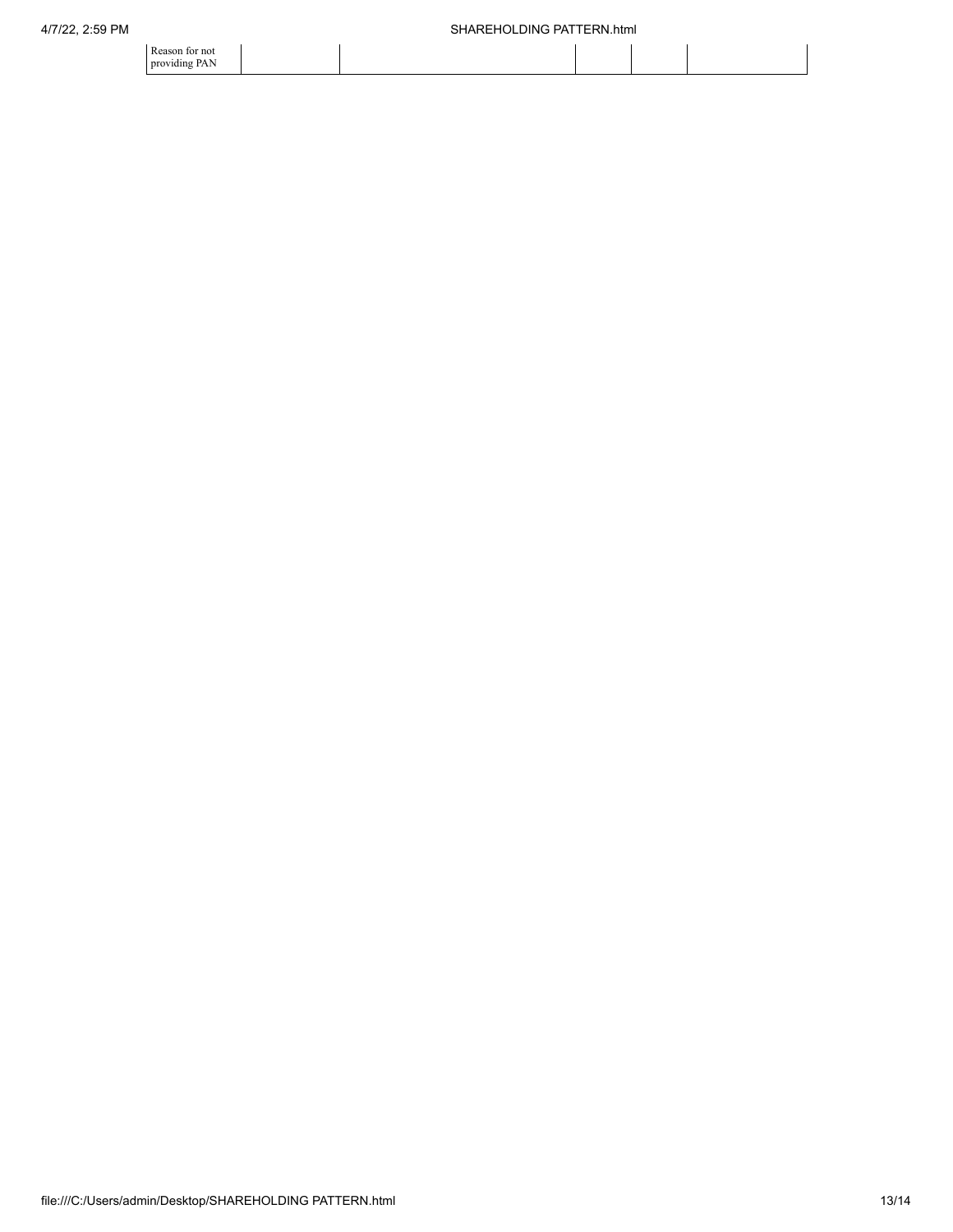| SHAREHOLDING PATTERN.html |  |  |
|---------------------------|--|--|
|                           |  |  |

| Reason for not |  |  |  |
|----------------|--|--|--|
| providing PAN  |  |  |  |
|                |  |  |  |